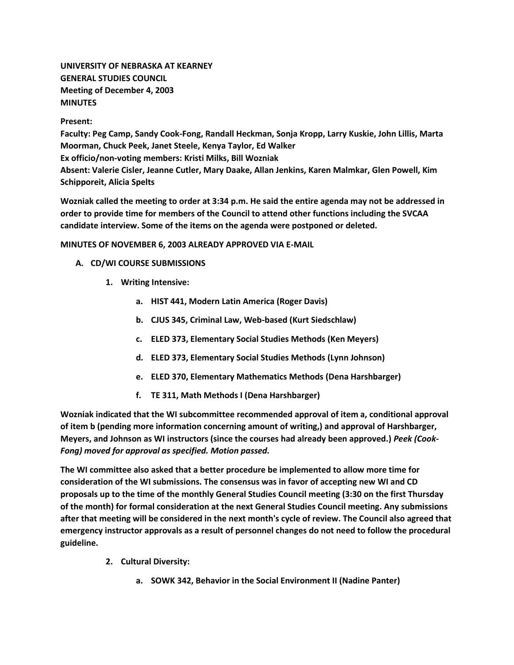**UNIVERSITY OF NEBRASKA AT KEARNEY GENERAL STUDIES COUNCIL Meeting of December 4, 2003 MINUTES**

**Present:**

**Faculty: Peg Camp, Sandy Cook-Fong, Randall Heckman, Sonja Kropp, Larry Kuskie, John Lillis, Marta Moorman, Chuck Peek, Janet Steele, Kenya Taylor, Ed Walker Ex officio/non-voting members: Kristi Milks, Bill Wozniak Absent: Valerie Cisler, Jeanne Cutler, Mary Daake, Allan Jenkins, Karen Malmkar, Glen Powell, Kim Schipporeit, Alicia Spelts**

**Wozniak called the meeting to order at 3:34 p.m. He said the entire agenda may not be addressed in order to provide time for members of the Council to attend other functions including the SVCAA candidate interview. Some of the items on the agenda were postponed or deleted.**

## **MINUTES OF NOVEMBER 6, 2003 ALREADY APPROVED VIA E-MAIL**

- **A. CD/WI COURSE SUBMISSIONS**
	- **1. Writing Intensive:** 
		- **a. HIST 441, Modern Latin America (Roger Davis)**
		- **b. CJUS 345, Criminal Law, Web-based (Kurt Siedschlaw)**
		- **c. ELED 373, Elementary Social Studies Methods (Ken Meyers)**
		- **d. ELED 373, Elementary Social Studies Methods (Lynn Johnson)**
		- **e. ELED 370, Elementary Mathematics Methods (Dena Harshbarger)**
		- **f. TE 311, Math Methods I (Dena Harshbarger)**

**Wozniak indicated that the WI subcommittee recommended approval of item a, conditional approval of item b (pending more information concerning amount of writing,) and approval of Harshbarger, Meyers, and Johnson as WI instructors (since the courses had already been approved.)** *Peek (Cook-Fong) moved for approval as specified. Motion passed.*

**The WI committee also asked that a better procedure be implemented to allow more time for consideration of the WI submissions. The consensus was in favor of accepting new WI and CD proposals up to the time of the monthly General Studies Council meeting (3:30 on the first Thursday of the month) for formal consideration at the next General Studies Council meeting. Any submissions after that meeting will be considered in the next month's cycle of review. The Council also agreed that emergency instructor approvals as a result of personnel changes do not need to follow the procedural guideline.**

- **2. Cultural Diversity:** 
	- **a. SOWK 342, Behavior in the Social Environment II (Nadine Panter)**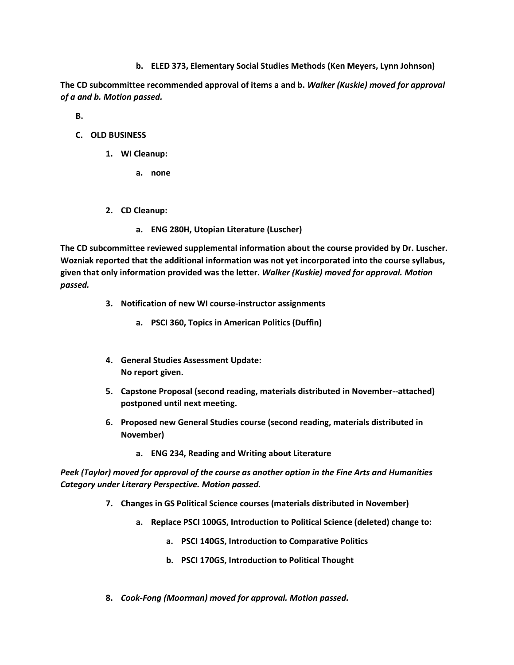**b. ELED 373, Elementary Social Studies Methods (Ken Meyers, Lynn Johnson)**

**The CD subcommittee recommended approval of items a and b.** *Walker (Kuskie) moved for approval of a and b. Motion passed.*

**B.**

- **C. OLD BUSINESS**
	- **1. WI Cleanup:** 
		- **a. none**
	- **2. CD Cleanup:** 
		- **a. ENG 280H, Utopian Literature (Luscher)**

**The CD subcommittee reviewed supplemental information about the course provided by Dr. Luscher. Wozniak reported that the additional information was not yet incorporated into the course syllabus, given that only information provided was the letter.** *Walker (Kuskie) moved for approval. Motion passed.*

- **3. Notification of new WI course-instructor assignments** 
	- **a. PSCI 360, Topics in American Politics (Duffin)**
- **4. General Studies Assessment Update: No report given.**
- **5. Capstone Proposal (second reading, materials distributed in November--attached) postponed until next meeting.**
- **6. Proposed new General Studies course (second reading, materials distributed in November)** 
	- **a. ENG 234, Reading and Writing about Literature**

*Peek (Taylor) moved for approval of the course as another option in the Fine Arts and Humanities Category under Literary Perspective. Motion passed.*

- **7. Changes in GS Political Science courses (materials distributed in November)** 
	- **a. Replace PSCI 100GS, Introduction to Political Science (deleted) change to:** 
		- **a. PSCI 140GS, Introduction to Comparative Politics**
		- **b. PSCI 170GS, Introduction to Political Thought**
- **8.** *Cook-Fong (Moorman) moved for approval. Motion passed.*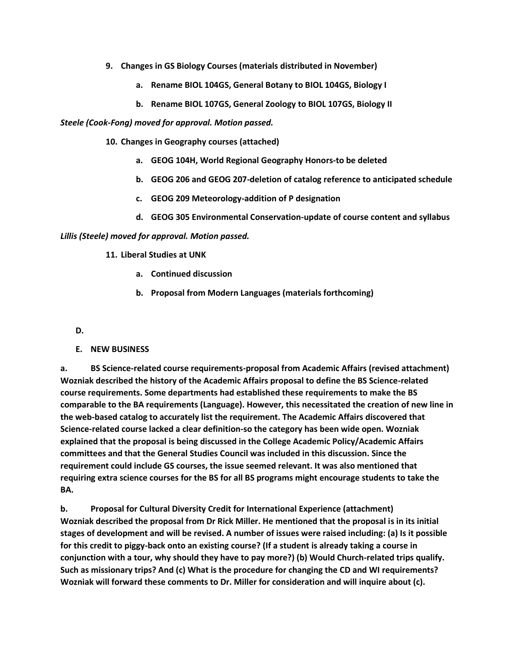- **9. Changes in GS Biology Courses (materials distributed in November)** 
	- **a. Rename BIOL 104GS, General Botany to BIOL 104GS, Biology I**
	- **b. Rename BIOL 107GS, General Zoology to BIOL 107GS, Biology II**

*Steele (Cook-Fong) moved for approval. Motion passed.*

- **10. Changes in Geography courses (attached)** 
	- **a. GEOG 104H, World Regional Geography Honors-to be deleted**
	- **b. GEOG 206 and GEOG 207-deletion of catalog reference to anticipated schedule**
	- **c. GEOG 209 Meteorology-addition of P designation**
	- **d. GEOG 305 Environmental Conservation-update of course content and syllabus**

*Lillis (Steele) moved for approval. Motion passed.*

### **11. Liberal Studies at UNK**

- **a. Continued discussion**
- **b. Proposal from Modern Languages (materials forthcoming)**

#### **D.**

### **E. NEW BUSINESS**

**a. BS Science-related course requirements-proposal from Academic Affairs (revised attachment) Wozniak described the history of the Academic Affairs proposal to define the BS Science-related course requirements. Some departments had established these requirements to make the BS comparable to the BA requirements (Language). However, this necessitated the creation of new line in the web-based catalog to accurately list the requirement. The Academic Affairs discovered that Science-related course lacked a clear definition-so the category has been wide open. Wozniak explained that the proposal is being discussed in the College Academic Policy/Academic Affairs committees and that the General Studies Council was included in this discussion. Since the requirement could include GS courses, the issue seemed relevant. It was also mentioned that requiring extra science courses for the BS for all BS programs might encourage students to take the BA.**

**b. Proposal for Cultural Diversity Credit for International Experience (attachment) Wozniak described the proposal from Dr Rick Miller. He mentioned that the proposal is in its initial stages of development and will be revised. A number of issues were raised including: (a) Is it possible for this credit to piggy-back onto an existing course? (If a student is already taking a course in conjunction with a tour, why should they have to pay more?) (b) Would Church-related trips qualify. Such as missionary trips? And (c) What is the procedure for changing the CD and WI requirements? Wozniak will forward these comments to Dr. Miller for consideration and will inquire about (c).**